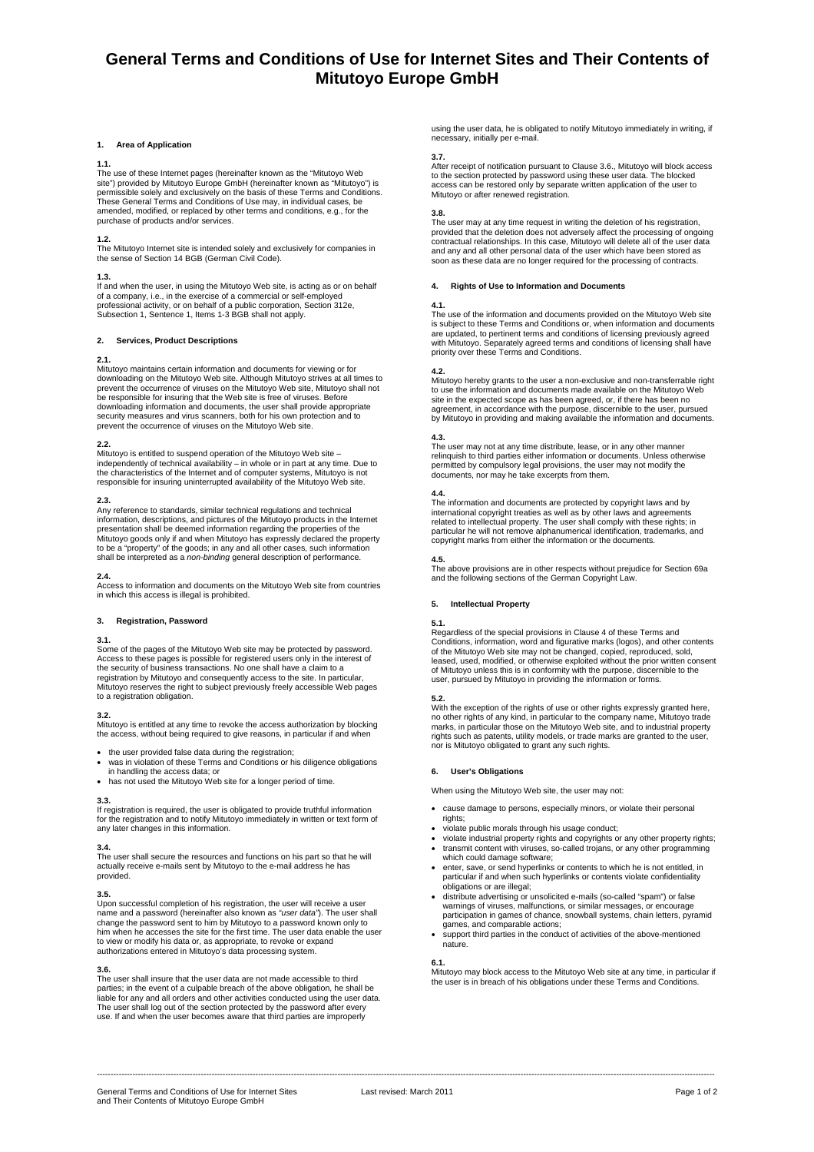# **General Terms and Conditions of Use for Internet Sites and Their Contents of Mitutoyo Europe GmbH**

### **1. Area of Application**

### **1.1.**

The use of these Internet pages (hereinafter known as the "Mitutoyo Web<br>site") provided by Mitutoyo Europe GmbH (hereinafter known as "Mitutoyo") is<br>permissible solely and exclusively on the basis of these Terms and Condit These General Terms and Conditions of Use may, in individual cases, be amended, modified, or replaced by other terms and conditions, e.g., for the purchase of products and/or services.

**1.2.**<br>The Mitutoyo Internet site is intended solely and exclusively for companies in<br>the sense of Section 14 BGB (German Civil Code).

## **1.3.**

If and when the user, in using the Mitutoyo Web site, is acting as or on behalf of a company, i.e., in the exercise of a commercial or self-employed professional activity, or on behalf of a public corporation, Section 312e, Subsection 1, Sentence 1, Items 1-3 BGB shall not apply.

### **2. Services, Product Descriptions**

### **2.1.**

Mitutoyo maintains certain information and documents for viewing or for downloading on the Mitutoyo Web site. Although Mitutoyo strives at all times to prevent the occurrence of viruses on the Mitutoyo Web site, Mitutoyo shall not be responsible for insuring that the Web site is free of viruses. Before downloading information and documents, the user shall provide appropriate security measures and virus scanners, both for his own protection and to prevent the occurrence of viruses on the Mitutoyo Web site.

### **2.2.**

Mitutoyo is entitled to suspend operation of the Mitutoyo Web site – independently of technical availability – in whole or in part at any time. Due to the characteristics of the Internet and of computer systems, Mitutoyo is not responsible for insuring uninterrupted availability of the Mitutoyo Web site.

### **2.3.**

Any reference to standards, similar technical regulations and technical information, descriptions, and pictures of the Mitutoyo products in the Internet<br>presentation shall be deemed information regarding the properties of the<br>Mitutoyo goods only if and when Mitutoyo has expressly declared the to be a "property" of the goods; in any and all other cases, such information shall be interpreted as a *non-binding* general description of performance.

### **2.4.**

Access to information and documents on the Mitutoyo Web site from countries in which this access is illegal is prohibited.

### **3. Registration, Password**

### **3.1.**

Some of the pages of the Mitutoyo Web site may be protected by password. Access to these pages is possible for registered users only in the interest of the security of business transactions. No one shall have a claim to a registration by Mitutoyo and consequently access to the site. In particular, Mitutoyo reserves the right to subject previously freely accessible Web pages to a registration obligation.

### **3.2.**

Mitutoyo is entitled at any time to revoke the access authorization by blocking the access, without being required to give reasons, in particular if and when

- the user provided false data during the registration;
- was in violation of these Terms and Conditions or his diligence obligations in handling the access data; or
- has not used the Mitutoyo Web site for a longer period of time.

### **3.3.**

If registration is required, the user is obligated to provide truthful information for the registration and to notify Mitutoyo immediately in written or text form of any later changes in this information.

**3.4.**  The user shall secure the resources and functions on his part so that he will actually receive e-mails sent by Mitutoyo to the e-mail address he has provided.

**3.5.**  Upon successful completion of his registration, the user will receive a user name and a password (hereinafter also known as *"user data"*). The user shall change the password sent to him by Mitutoyo to a password known only to him when he accesses the site for the first time. The user data enable the user<br>to view or modify his data or, as appropriate, to revoke or expand<br>authorizations entered in Mitutoyo's data processing system.

### **3.6.**

The user shall insure that the user data are not made accessible to third parties; in the event of a culpable breach of the above obligation, he shall be liable for any and all orders and other activities conducted using the user data. The user shall log out of the section protected by the password after every use. If and when the user becomes aware that third parties are improperly

using the user data, he is obligated to notify Mitutoyo immediately in writing, if necessary, initially per e-mail.

**3.7.**  After receipt of notification pursuant to Clause 3.6., Mitutoyo will block access to the section protected by password using these user data. The blocked access can be restored only by separate written application of the user to Mitutoyo or after renewed registration.

**3.8.**  The user may at any time request in writing the deletion of his registration, provided that the deletion does not adversely affect the processing of ongoing contractual relationships. In this case, Mitutoyo will delete all of the user data and any and all other personal data of the user which have been stored as soon as these data are no longer required for the processing of contracts.

### **4. Rights of Use to Information and Documents**

### **4.1.**

The use of the information and documents provided on the Mitutoyo Web site is subject to these Terms and Conditions or, when information and documents<br>are updated, to pertinent terms and conditions of licensing previously agreed<br>with Mitutoyo. Separately agreed terms and conditions of licensing s priority over these Terms and Conditions.

**4.2.**  Mitutoyo hereby grants to the user a non-exclusive and non-transferrable right to use the information and documents made available on the Mitutoyo Web site in the expected scope as has been agreed, or, if there has been no agreement, in accordance with the purpose, discernible to the user, pursued by Mitutoyo in providing and making available the information and documents.

**4.3.**  The user may not at any time distribute, lease, or in any other manner relinquish to third parties either information or documents. Unless otherwise permitted by compulsory legal provisions, the user may not modify the documents, nor may he take excerpts from them.

**4.4.**  The information and documents are protected by copyright laws and by international copyright treaties as well as by other laws and agreements related to intellectual property. The user shall comply with these rights; in particular he will not remove alphanumerical identification, trademarks, and copyright marks from either the information or the documents.

**4.5.**  The above provisions are in other respects without prejudice for Section 69a and the following sections of the German Copyright Law.

### **5. Intellectual Property**

### **5.1.**

Regardless of the special provisions in Clause 4 of these Terms and<br>Conditions, information, word and figurative marks (logos), and other contents<br>of the Mitutoyo Web site may not be changed, copied, reproduced, sold,<br>leas of Mitutoyo unless this is in conformity with the purpose, discernible to the user, pursued by Mitutoyo in providing the information or forms.

**5.2.**<br>With the exception of the rights of use or other rights expressly granted here,<br>no other rights of any kind, in particular to the company name, Mitutoyo trade<br>marks, in particular those on the Mitutoyo Web site, and rights such as patents, utility models, or trade marks are granted to the user, nor is Mitutoyo obligated to grant any such rights.

### **6. User's Obligations**

When using the Mitutoyo Web site, the user may not:

- cause damage to persons, especially minors, or violate their personal
- rights; violate public morals through his usage conduct;
- violate industrial property rights and copyrights or any other property rights;
- transmit content with viruses, so-called trojans, or any other programming which could damage software:
- enter, save, or send hyperlinks or contents to which he is not entitled, in particular if and when such hyperlinks or contents violate confidentiality obligations or are illegal;
- distribute advertising or unsolicited e-mails (so-called "spam") or false warnings of viruses, malfunctions, or similar messages, or encourage participation in games of chance, snowball systems, chain letters, pyramid games, and comparable actions;
- support third parties in the conduct of activities of the above-mentioned nature.

**6.1.**<br>Mitutoyo may block access to the Mitutoyo Web site at any time, in particular if the user is in breach of his obligations under these Terms and Conditions.